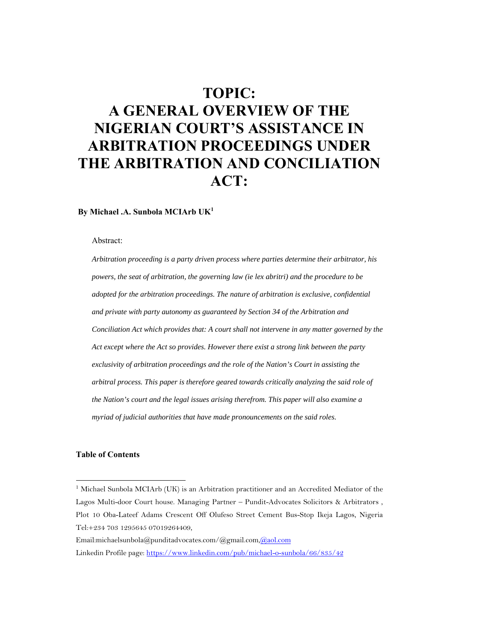# **TOPIC: A GENERAL OVERVIEW OF THE NIGERIAN COURT'S ASSISTANCE IN ARBITRATION PROCEEDINGS UNDER THE ARBITRATION AND CONCILIATION ACT:**

 **By Michael .A. Sunbola MCIArb UK1**

Abstract:

*Arbitration proceeding is a party driven process where parties determine their arbitrator, his powers, the seat of arbitration, the governing law (ie lex abritri) and the procedure to be adopted for the arbitration proceedings. The nature of arbitration is exclusive, confidential and private with party autonomy as guaranteed by Section 34 of the Arbitration and Conciliation Act which provides that: A court shall not intervene in any matter governed by the Act except where the Act so provides. However there exist a strong link between the party exclusivity of arbitration proceedings and the role of the Nation's Court in assisting the arbitral process. This paper is therefore geared towards critically analyzing the said role of the Nation's court and the legal issues arising therefrom. This paper will also examine a myriad of judicial authorities that have made pronouncements on the said roles.* 

## **Table of Contents**

<sup>&</sup>lt;sup>1</sup> Michael Sunbola MCIArb (UK) is an Arbitration practitioner and an Accredited Mediator of the Lagos Multi-door Court house. Managing Partner – Pundit-Advocates Solicitors & Arbitrators , Plot 10 Oba-Lateef Adams Crescent Off Olufeso Street Cement Bus-Stop Ikeja Lagos, Nigeria Tel:+234 703 1295645 07019264409,

Email:michaelsunbola@punditadvocates.com/@gmail.com,@aol.com

Linkedin Profile page: https://www.linkedin.com/pub/michael-o-sunbola/66/835/42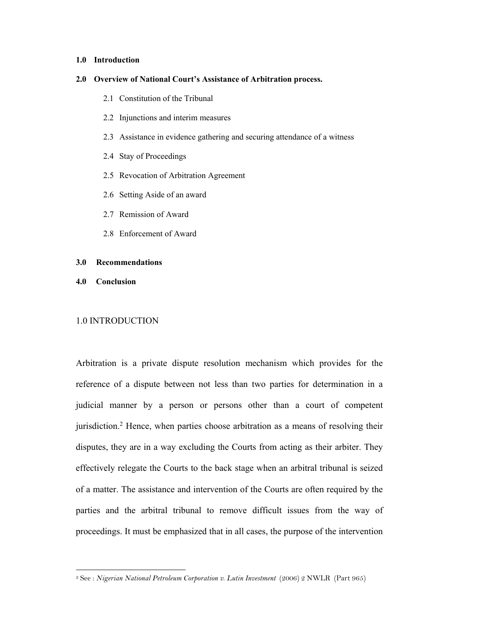## **1.0 Introduction**

#### **2.0 Overview of National Court's Assistance of Arbitration process.**

- 2.1 Constitution of the Tribunal
- 2.2 Injunctions and interim measures
- 2.3 Assistance in evidence gathering and securing attendance of a witness
- 2.4 Stay of Proceedings
- 2.5 Revocation of Arbitration Agreement
- 2.6 Setting Aside of an award
- 2.7 Remission of Award
- 2.8 Enforcement of Award

## **3.0 Recommendations**

**4.0 Conclusion** 

-

## 1.0 INTRODUCTION

Arbitration is a private dispute resolution mechanism which provides for the reference of a dispute between not less than two parties for determination in a judicial manner by a person or persons other than a court of competent jurisdiction.2 Hence, when parties choose arbitration as a means of resolving their disputes, they are in a way excluding the Courts from acting as their arbiter. They effectively relegate the Courts to the back stage when an arbitral tribunal is seized of a matter. The assistance and intervention of the Courts are often required by the parties and the arbitral tribunal to remove difficult issues from the way of proceedings. It must be emphasized that in all cases, the purpose of the intervention

<sup>2</sup> See : *Nigerian National Petroleum Corporation v. Lutin Investment* (2006) 2 NWLR (Part 965)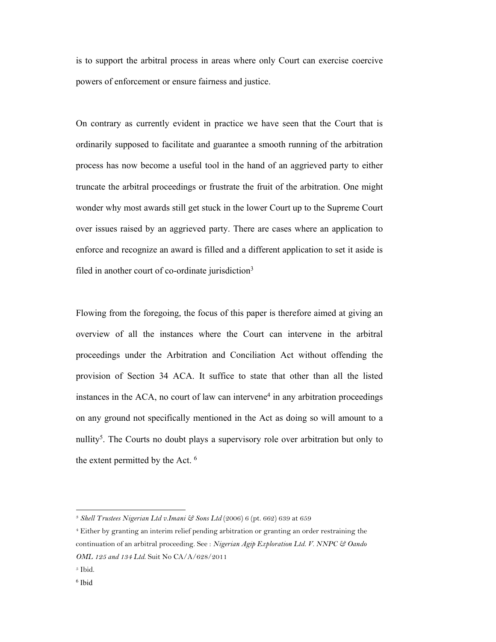is to support the arbitral process in areas where only Court can exercise coercive powers of enforcement or ensure fairness and justice.

On contrary as currently evident in practice we have seen that the Court that is ordinarily supposed to facilitate and guarantee a smooth running of the arbitration process has now become a useful tool in the hand of an aggrieved party to either truncate the arbitral proceedings or frustrate the fruit of the arbitration. One might wonder why most awards still get stuck in the lower Court up to the Supreme Court over issues raised by an aggrieved party. There are cases where an application to enforce and recognize an award is filled and a different application to set it aside is filed in another court of co-ordinate jurisdiction<sup>3</sup>

Flowing from the foregoing, the focus of this paper is therefore aimed at giving an overview of all the instances where the Court can intervene in the arbitral proceedings under the Arbitration and Conciliation Act without offending the provision of Section 34 ACA. It suffice to state that other than all the listed instances in the ACA, no court of law can intervene<sup>4</sup> in any arbitration proceedings on any ground not specifically mentioned in the Act as doing so will amount to a nullity<sup>5</sup>. The Courts no doubt plays a supervisory role over arbitration but only to the extent permitted by the Act. 6

<sup>3</sup> *Shell Trustees Nigerian Ltd v.Imani & Sons Ltd* (2006) 6 (pt. 662) 639 at 659

<sup>4</sup> Either by granting an interim relief pending arbitration or granting an order restraining the continuation of an arbitral proceeding. See : *Nigerian Agip Exploration Ltd. V. NNPC & Oando OML 125 and 134 Ltd*. Suit No CA/A/628/2011

<sup>5</sup> Ibid.

<sup>6</sup> Ibid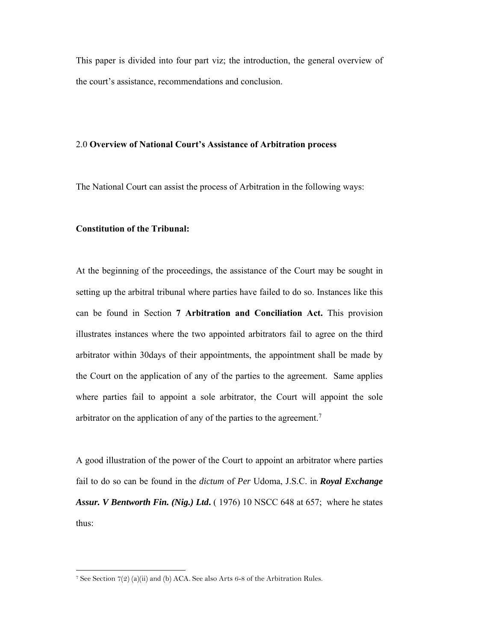This paper is divided into four part viz; the introduction, the general overview of the court's assistance, recommendations and conclusion.

## 2.0 **Overview of National Court's Assistance of Arbitration process**

The National Court can assist the process of Arbitration in the following ways:

## **Constitution of the Tribunal:**

-

At the beginning of the proceedings, the assistance of the Court may be sought in setting up the arbitral tribunal where parties have failed to do so. Instances like this can be found in Section **7 Arbitration and Conciliation Act.** This provision illustrates instances where the two appointed arbitrators fail to agree on the third arbitrator within 30days of their appointments, the appointment shall be made by the Court on the application of any of the parties to the agreement. Same applies where parties fail to appoint a sole arbitrator, the Court will appoint the sole arbitrator on the application of any of the parties to the agreement.7

A good illustration of the power of the Court to appoint an arbitrator where parties fail to do so can be found in the *dictum* of *Per* Udoma, J.S.C. in *Royal Exchange Assur. V Bentworth Fin. (Nig.) Ltd***.** ( 1976) 10 NSCC 648 at 657; where he states thus:

<sup>&</sup>lt;sup>7</sup> See Section  $7(2)$  (a)(ii) and (b) ACA. See also Arts 6-8 of the Arbitration Rules.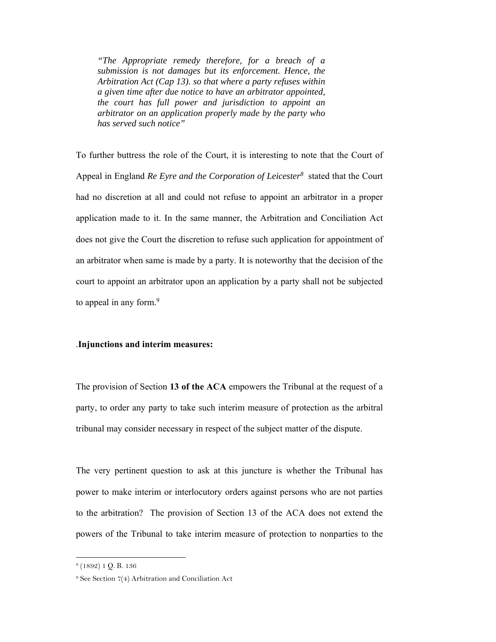*"The Appropriate remedy therefore, for a breach of a submission is not damages but its enforcement. Hence, the Arbitration Act (Cap 13). so that where a party refuses within a given time after due notice to have an arbitrator appointed, the court has full power and jurisdiction to appoint an arbitrator on an application properly made by the party who has served such notice"* 

To further buttress the role of the Court, it is interesting to note that the Court of Appeal in England *Re Eyre and the Corporation of Leicester8* stated that the Court had no discretion at all and could not refuse to appoint an arbitrator in a proper application made to it. In the same manner, the Arbitration and Conciliation Act does not give the Court the discretion to refuse such application for appointment of an arbitrator when same is made by a party. It is noteworthy that the decision of the court to appoint an arbitrator upon an application by a party shall not be subjected to appeal in any form.<sup>9</sup>

## .**Injunctions and interim measures:**

The provision of Section **13 of the ACA** empowers the Tribunal at the request of a party, to order any party to take such interim measure of protection as the arbitral tribunal may consider necessary in respect of the subject matter of the dispute.

The very pertinent question to ask at this juncture is whether the Tribunal has power to make interim or interlocutory orders against persons who are not parties to the arbitration? The provision of Section 13 of the ACA does not extend the powers of the Tribunal to take interim measure of protection to nonparties to the

<sup>8 (1892) 1</sup> Q. B. 136

<sup>9</sup> See Section 7(4) Arbitration and Conciliation Act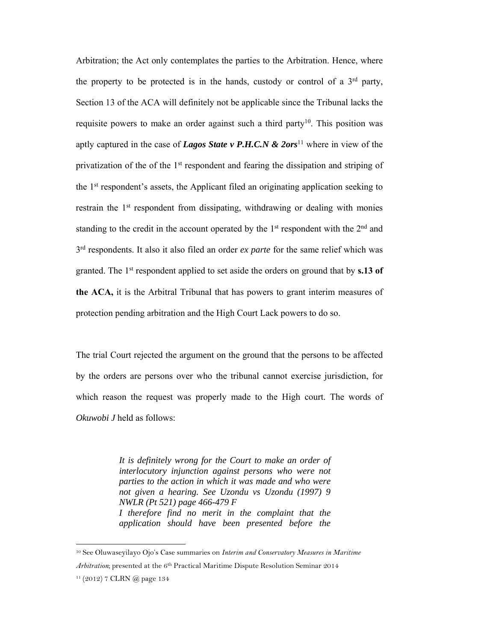Arbitration; the Act only contemplates the parties to the Arbitration. Hence, where the property to be protected is in the hands, custody or control of a  $3<sup>rd</sup>$  party, Section 13 of the ACA will definitely not be applicable since the Tribunal lacks the requisite powers to make an order against such a third party<sup>10</sup>. This position was aptly captured in the case of *Lagos State v P.H.C.N & 2ors*11 where in view of the privatization of the of the 1st respondent and fearing the dissipation and striping of the 1st respondent's assets, the Applicant filed an originating application seeking to restrain the 1<sup>st</sup> respondent from dissipating, withdrawing or dealing with monies standing to the credit in the account operated by the  $1<sup>st</sup>$  respondent with the  $2<sup>nd</sup>$  and 3rd respondents. It also it also filed an order *ex parte* for the same relief which was granted. The 1st respondent applied to set aside the orders on ground that by **s.13 of the ACA,** it is the Arbitral Tribunal that has powers to grant interim measures of protection pending arbitration and the High Court Lack powers to do so.

The trial Court rejected the argument on the ground that the persons to be affected by the orders are persons over who the tribunal cannot exercise jurisdiction, for which reason the request was properly made to the High court. The words of *Okuwobi J* held as follows:

> *It is definitely wrong for the Court to make an order of interlocutory injunction against persons who were not parties to the action in which it was made and who were not given a hearing. See Uzondu vs Uzondu (1997) 9 NWLR (Pt 521) page 466-479 F I therefore find no merit in the complaint that the application should have been presented before the*

<sup>10</sup> See Oluwaseyilayo Ojo's Case summaries on *Interim and Conservatory Measures in Maritime Arbitration*; presented at the 6<sup>th</sup> Practical Maritime Dispute Resolution Seminar 2014

 $11 (2012)$  7 CLRN  $@$  page 134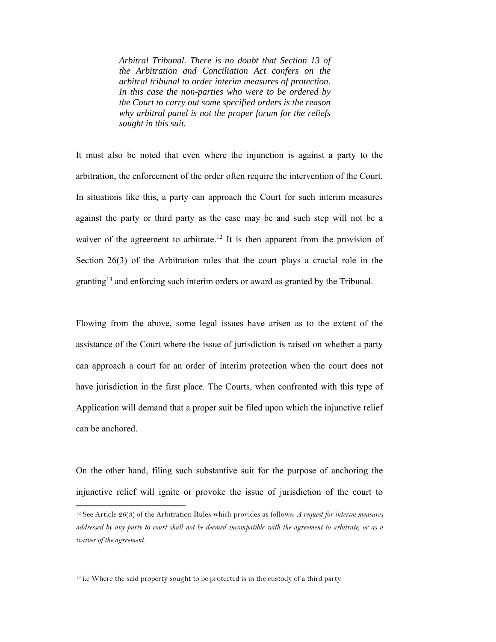*Arbitral Tribunal. There is no doubt that Section 13 of the Arbitration and Conciliation Act confers on the arbitral tribunal to order interim measures of protection. In this case the non-parties who were to be ordered by the Court to carry out some specified orders is the reason why arbitral panel is not the proper forum for the reliefs sought in this suit.* 

It must also be noted that even where the injunction is against a party to the arbitration, the enforcement of the order often require the intervention of the Court. In situations like this, a party can approach the Court for such interim measures against the party or third party as the case may be and such step will not be a waiver of the agreement to arbitrate.<sup>12</sup> It is then apparent from the provision of Section 26(3) of the Arbitration rules that the court plays a crucial role in the granting13 and enforcing such interim orders or award as granted by the Tribunal.

Flowing from the above, some legal issues have arisen as to the extent of the assistance of the Court where the issue of jurisdiction is raised on whether a party can approach a court for an order of interim protection when the court does not have jurisdiction in the first place. The Courts, when confronted with this type of Application will demand that a proper suit be filed upon which the injunctive relief can be anchored.

On the other hand, filing such substantive suit for the purpose of anchoring the injunctive relief will ignite or provoke the issue of jurisdiction of the court to

 $13$  i.e Where the said property sought to be protected is in the custody of a third party

<sup>12</sup> See Article 26(3) of the Arbitration Rules which provides as follows: *A request for interim measures addressed by any party to court shall not be deemed incompatible with the agreement to arbitrate, or as a waiver of the agreement.*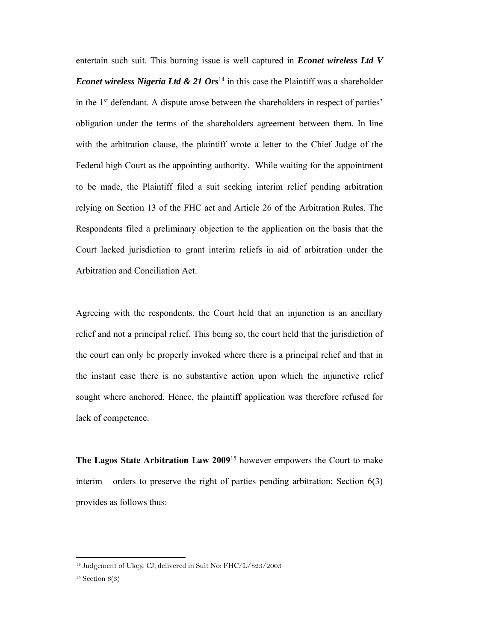entertain such suit. This burning issue is well captured in *Econet wireless Ltd V Econet wireless Nigeria Ltd & 21 Ors*<sup>14</sup> in this case the Plaintiff was a shareholder in the 1st defendant. A dispute arose between the shareholders in respect of parties' obligation under the terms of the shareholders agreement between them. In line with the arbitration clause, the plaintiff wrote a letter to the Chief Judge of the Federal high Court as the appointing authority. While waiting for the appointment to be made, the Plaintiff filed a suit seeking interim relief pending arbitration relying on Section 13 of the FHC act and Article 26 of the Arbitration Rules. The Respondents filed a preliminary objection to the application on the basis that the Court lacked jurisdiction to grant interim reliefs in aid of arbitration under the Arbitration and Conciliation Act.

Agreeing with the respondents, the Court held that an injunction is an ancillary relief and not a principal relief. This being so, the court held that the jurisdiction of the court can only be properly invoked where there is a principal relief and that in the instant case there is no substantive action upon which the injunctive relief sought where anchored. Hence, the plaintiff application was therefore refused for lack of competence.

**The Lagos State Arbitration Law 2009**15 however empowers the Court to make interim orders to preserve the right of parties pending arbitration; Section 6(3) provides as follows thus:

<sup>14</sup> Judgement of Ukeje CJ, delivered in Suit No: FHC/L/823/2003

 $15$  Section  $6(3)$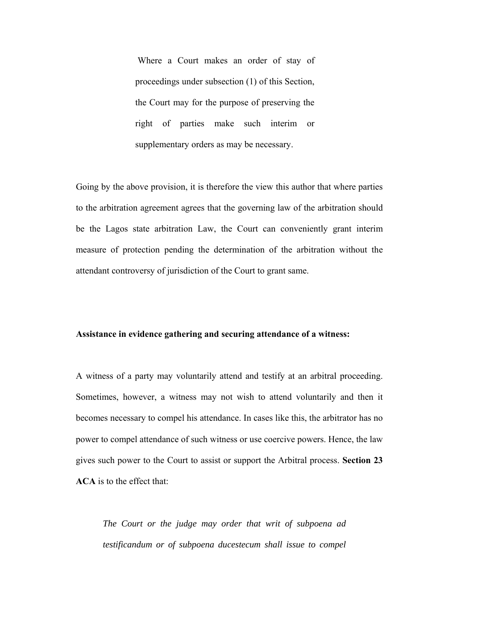Where a Court makes an order of stay of proceedings under subsection (1) of this Section, the Court may for the purpose of preserving the right of parties make such interim or supplementary orders as may be necessary.

Going by the above provision, it is therefore the view this author that where parties to the arbitration agreement agrees that the governing law of the arbitration should be the Lagos state arbitration Law, the Court can conveniently grant interim measure of protection pending the determination of the arbitration without the attendant controversy of jurisdiction of the Court to grant same.

## **Assistance in evidence gathering and securing attendance of a witness:**

A witness of a party may voluntarily attend and testify at an arbitral proceeding. Sometimes, however, a witness may not wish to attend voluntarily and then it becomes necessary to compel his attendance. In cases like this, the arbitrator has no power to compel attendance of such witness or use coercive powers. Hence, the law gives such power to the Court to assist or support the Arbitral process. **Section 23 ACA** is to the effect that:

*The Court or the judge may order that writ of subpoena ad testificandum or of subpoena ducestecum shall issue to compel*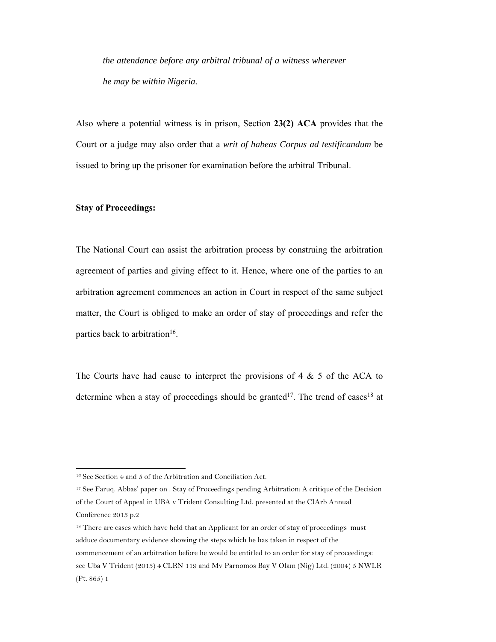*the attendance before any arbitral tribunal of a witness wherever he may be within Nigeria.* 

Also where a potential witness is in prison, Section **23(2) ACA** provides that the Court or a judge may also order that a *writ of habeas Corpus ad testificandum* be issued to bring up the prisoner for examination before the arbitral Tribunal.

## **Stay of Proceedings:**

-

The National Court can assist the arbitration process by construing the arbitration agreement of parties and giving effect to it. Hence, where one of the parties to an arbitration agreement commences an action in Court in respect of the same subject matter, the Court is obliged to make an order of stay of proceedings and refer the parties back to arbitration<sup>16</sup>.

The Courts have had cause to interpret the provisions of 4  $\&$  5 of the ACA to determine when a stay of proceedings should be granted<sup>17</sup>. The trend of cases<sup>18</sup> at

17 See Faruq. Abbas' paper on : Stay of Proceedings pending Arbitration: A critique of the Decision of the Court of Appeal in UBA v Trident Consulting Ltd. presented at the CIArb Annual Conference 2013 p.2

<sup>18</sup> There are cases which have held that an Applicant for an order of stay of proceedings must adduce documentary evidence showing the steps which he has taken in respect of the commencement of an arbitration before he would be entitled to an order for stay of proceedings: see Uba V Trident (2013) 4 CLRN 119 and Mv Parnomos Bay V Olam (Nig) Ltd. (2004) 5 NWLR (Pt. 865) 1

<sup>16</sup> See Section 4 and 5 of the Arbitration and Conciliation Act.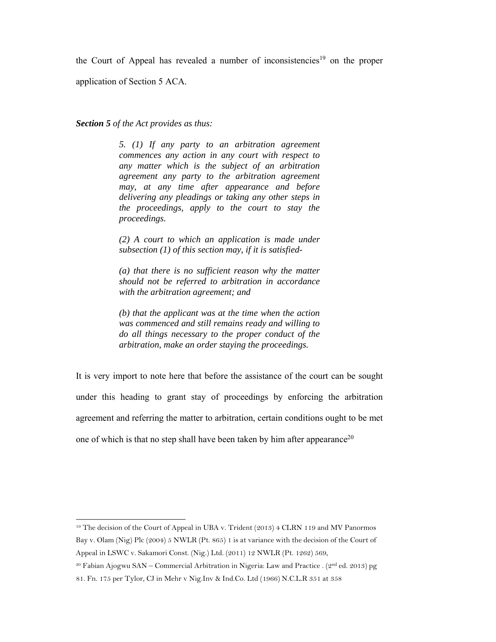the Court of Appeal has revealed a number of inconsistencies<sup>19</sup> on the proper

application of Section 5 ACA.

-

*Section 5 of the Act provides as thus:* 

*5. (1) If any party to an arbitration agreement commences any action in any court with respect to any matter which is the subject of an arbitration agreement any party to the arbitration agreement may, at any time after appearance and before delivering any pleadings or taking any other steps in the proceedings, apply to the court to stay the proceedings.* 

*(2) A court to which an application is made under subsection (1) of this section may, if it is satisfied-* 

*(a) that there is no sufficient reason why the matter should not be referred to arbitration in accordance with the arbitration agreement; and* 

*(b) that the applicant was at the time when the action was commenced and still remains ready and willing to do all things necessary to the proper conduct of the arbitration, make an order staying the proceedings.* 

It is very import to note here that before the assistance of the court can be sought under this heading to grant stay of proceedings by enforcing the arbitration agreement and referring the matter to arbitration, certain conditions ought to be met one of which is that no step shall have been taken by him after appearance<sup>20</sup>

<sup>19</sup> The decision of the Court of Appeal in UBA v. Trident (2013) 4 CLRN 119 and MV Panormos Bay v. Olam (Nig) Plc (2004) 5 NWLR (Pt. 865) 1 is at variance with the decision of the Court of Appeal in LSWC v. Sakamori Const. (Nig.) Ltd. (2011) 12 NWLR (Pt. 1262) 569,

<sup>&</sup>lt;sup>20</sup> Fabian Ajogwu SAN – Commercial Arbitration in Nigeria: Law and Practice . ( $2<sup>nd</sup>$  ed. 2013) pg

<sup>81.</sup> Fn. 175 per Tylor, CJ in Mehr v Nig.Inv & Ind.Co. Ltd (1966) N.C.L.R 351 at 358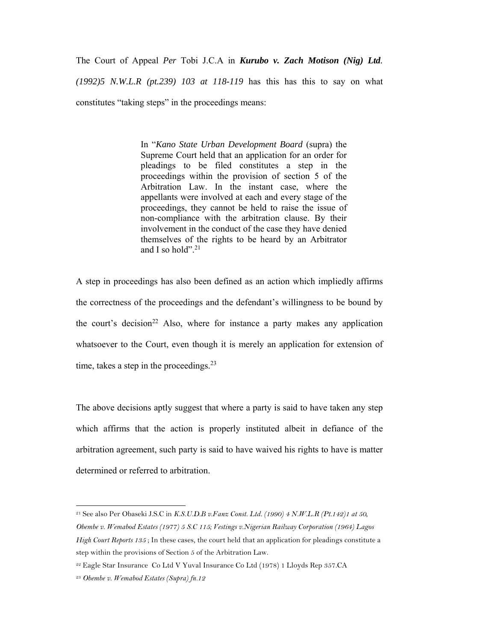The Court of Appeal *Per* Tobi J.C.A in *Kurubo v. Zach Motison (Nig) Ltd.* 

*(1992)5 N.W.L.R (pt.239) 103 at 118-119* has this has this to say on what constitutes "taking steps" in the proceedings means:

> In "*Kano State Urban Development Board* (supra) the Supreme Court held that an application for an order for pleadings to be filed constitutes a step in the proceedings within the provision of section 5 of the Arbitration Law. In the instant case, where the appellants were involved at each and every stage of the proceedings, they cannot be held to raise the issue of non-compliance with the arbitration clause. By their involvement in the conduct of the case they have denied themselves of the rights to be heard by an Arbitrator and I so hold". $21$

A step in proceedings has also been defined as an action which impliedly affirms the correctness of the proceedings and the defendant's willingness to be bound by the court's decision<sup>22</sup> Also, where for instance a party makes any application whatsoever to the Court, even though it is merely an application for extension of time, takes a step in the proceedings.  $2<sup>3</sup>$ 

The above decisions aptly suggest that where a party is said to have taken any step which affirms that the action is properly instituted albeit in defiance of the arbitration agreement, such party is said to have waived his rights to have is matter determined or referred to arbitration.

<sup>21</sup> See also Per Obaseki J.S.C in *K.S.U.D.B v.Fanz Const. Ltd. (1990) 4 N.W.L.R (Pt.142)1 at 50, Obembe v. Wemabod Estates (1977) 5 S.C 115; Vestings v.Nigerian Railway Corporation (1964) Lagos High Court Reports 135* ; In these cases, the court held that an application for pleadings constitute a step within the provisions of Section 5 of the Arbitration Law.

<sup>22</sup> Eagle Star Insurance Co Ltd V Yuval Insurance Co Ltd (1978) 1 Lloyds Rep 357.CA

<sup>23</sup> *Obembe v. Wemabod Estates (Supra) fn.12*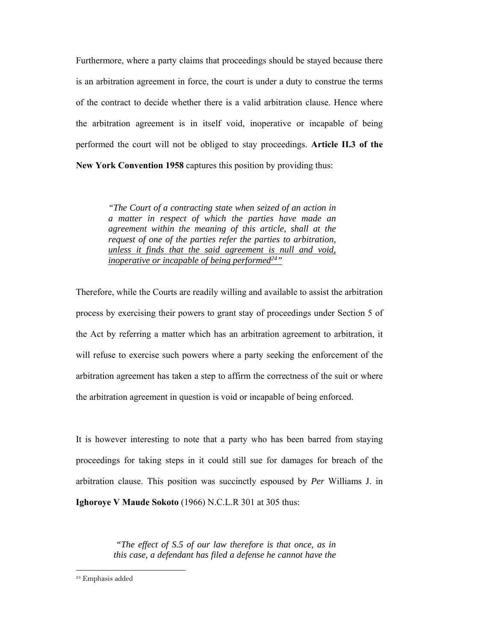Furthermore, where a party claims that proceedings should be stayed because there is an arbitration agreement in force, the court is under a duty to construe the terms of the contract to decide whether there is a valid arbitration clause. Hence where the arbitration agreement is in itself void, inoperative or incapable of being performed the court will not be obliged to stay proceedings. **Article II.3 of the New York Convention 1958** captures this position by providing thus:

> *"The Court of a contracting state when seized of an action in a matter in respect of which the parties have made an agreement within the meaning of this article, shall at the request of one of the parties refer the parties to arbitration, unless it finds that the said agreement is null and void, inoperative or incapable of being performed*<sup>24</sup>"

Therefore, while the Courts are readily willing and available to assist the arbitration process by exercising their powers to grant stay of proceedings under Section 5 of the Act by referring a matter which has an arbitration agreement to arbitration, it will refuse to exercise such powers where a party seeking the enforcement of the arbitration agreement has taken a step to affirm the correctness of the suit or where the arbitration agreement in question is void or incapable of being enforced.

It is however interesting to note that a party who has been barred from staying proceedings for taking steps in it could still sue for damages for breach of the arbitration clause. This position was succinctly espoused by *Per* Williams J. in **Ighoroye V Maude Sokoto** (1966) N.C.L.R 301 at 305 thus:

> *"The effect of S.5 of our law therefore is that once, as in this case, a defendant has filed a defense he cannot have the*

<sup>24</sup> Emphasis added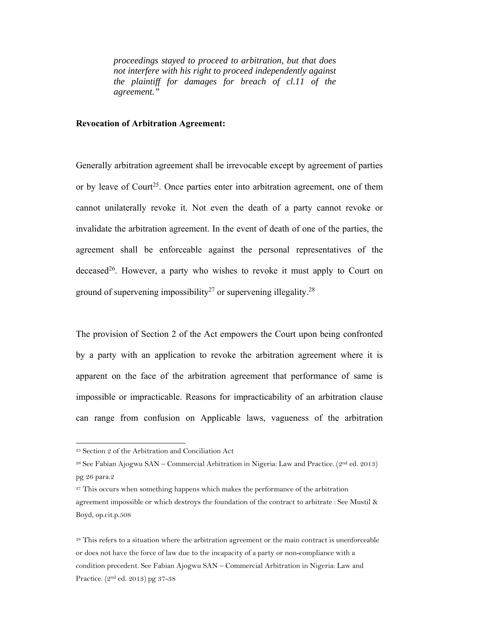*proceedings stayed to proceed to arbitration, but that does not interfere with his right to proceed independently against the plaintiff for damages for breach of cl.11 of the agreement."* 

## **Revocation of Arbitration Agreement:**

Generally arbitration agreement shall be irrevocable except by agreement of parties or by leave of Court<sup>25</sup>. Once parties enter into arbitration agreement, one of them cannot unilaterally revoke it. Not even the death of a party cannot revoke or invalidate the arbitration agreement. In the event of death of one of the parties, the agreement shall be enforceable against the personal representatives of the deceased<sup>26</sup>. However, a party who wishes to revoke it must apply to Court on ground of supervening impossibility<sup>27</sup> or supervening illegality.<sup>28</sup>

The provision of Section 2 of the Act empowers the Court upon being confronted by a party with an application to revoke the arbitration agreement where it is apparent on the face of the arbitration agreement that performance of same is impossible or impracticable. Reasons for impracticability of an arbitration clause can range from confusion on Applicable laws, vagueness of the arbitration

<sup>25</sup> Section 2 of the Arbitration and Conciliation Act

<sup>26</sup> See Fabian Ajogwu SAN – Commercial Arbitration in Nigeria: Law and Practice. (2nd ed. 2013) pg 26 para.2

<sup>&</sup>lt;sup>27</sup> This occurs when something happens which makes the performance of the arbitration agreement impossible or which destroys the foundation of the contract to arbitrate : See Mustil & Boyd, op.cit.p.508

<sup>&</sup>lt;sup>28</sup> This refers to a situation where the arbitration agreement or the main contract is unenforceable or does not have the force of law due to the incapacity of a party or non-compliance with a condition precedent. See Fabian Ajogwu SAN – Commercial Arbitration in Nigeria: Law and Practice. (2nd ed. 2013) pg 37-38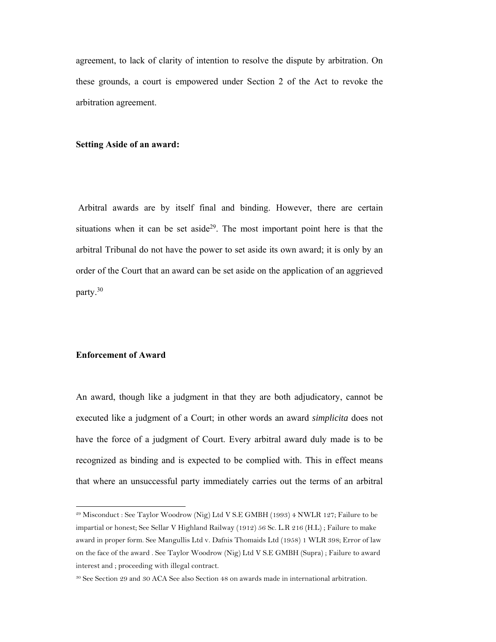agreement, to lack of clarity of intention to resolve the dispute by arbitration. On these grounds, a court is empowered under Section 2 of the Act to revoke the arbitration agreement.

## **Setting Aside of an award:**

 Arbitral awards are by itself final and binding. However, there are certain situations when it can be set aside<sup>29</sup>. The most important point here is that the arbitral Tribunal do not have the power to set aside its own award; it is only by an order of the Court that an award can be set aside on the application of an aggrieved party.30

## **Enforcement of Award**

-

An award, though like a judgment in that they are both adjudicatory, cannot be executed like a judgment of a Court; in other words an award *simplicita* does not have the force of a judgment of Court. Every arbitral award duly made is to be recognized as binding and is expected to be complied with. This in effect means that where an unsuccessful party immediately carries out the terms of an arbitral

<sup>29</sup> Misconduct : See Taylor Woodrow (Nig) Ltd V S.E GMBH (1993) 4 NWLR 127; Failure to be impartial or honest; See Sellar V Highland Railway (1912) 56 Sc. L.R 216 (H.L) ; Failure to make award in proper form. See Mangullis Ltd v. Dafnis Thomaids Ltd (1958) 1 WLR 398; Error of law on the face of the award . See Taylor Woodrow (Nig) Ltd V S.E GMBH (Supra) ; Failure to award interest and ; proceeding with illegal contract.

<sup>30</sup> See Section 29 and 30 ACA See also Section 48 on awards made in international arbitration.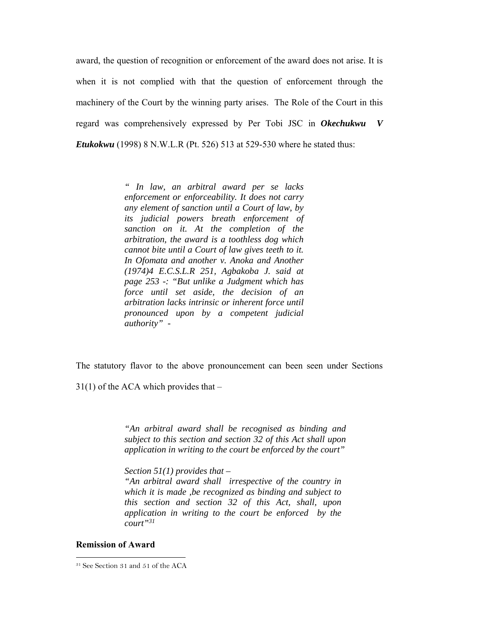award, the question of recognition or enforcement of the award does not arise. It is when it is not complied with that the question of enforcement through the machinery of the Court by the winning party arises. The Role of the Court in this regard was comprehensively expressed by Per Tobi JSC in *Okechukwu V Etukokwu* (1998) 8 N.W.L.R (Pt. 526) 513 at 529-530 where he stated thus:

> *" In law, an arbitral award per se lacks enforcement or enforceability. It does not carry any element of sanction until a Court of law, by its judicial powers breath enforcement of sanction on it. At the completion of the arbitration, the award is a toothless dog which cannot bite until a Court of law gives teeth to it. In Ofomata and another v. Anoka and Another (1974)4 E.C.S.L.R 251, Agbakoba J. said at page 253 -: "But unlike a Judgment which has force until set aside, the decision of an arbitration lacks intrinsic or inherent force until pronounced upon by a competent judicial authority" -*

The statutory flavor to the above pronouncement can been seen under Sections

 $31(1)$  of the ACA which provides that –

*"An arbitral award shall be recognised as binding and subject to this section and section 32 of this Act shall upon application in writing to the court be enforced by the court"* 

*Section 51(1) provides that –* 

*"An arbitral award shall irrespective of the country in which it is made ,be recognized as binding and subject to this section and section 32 of this Act, shall, upon application in writing to the court be enforced by the court"31*

## **Remission of Award**

<sup>31</sup> See Section 31 and 51 of the ACA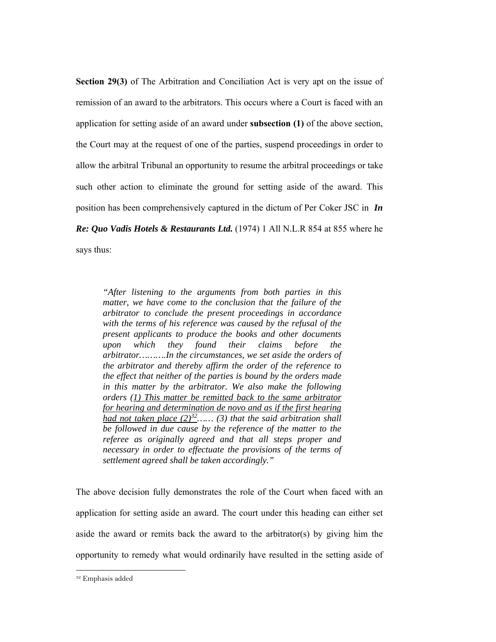**Section 29(3)** of The Arbitration and Conciliation Act is very apt on the issue of remission of an award to the arbitrators. This occurs where a Court is faced with an application for setting aside of an award under **subsection (1)** of the above section, the Court may at the request of one of the parties, suspend proceedings in order to allow the arbitral Tribunal an opportunity to resume the arbitral proceedings or take such other action to eliminate the ground for setting aside of the award. This position has been comprehensively captured in the dictum of Per Coker JSC in *In Re: Quo Vadis Hotels & Restaurants Ltd.* (1974) 1 All N.L.R 854 at 855 where he says thus:

*"After listening to the arguments from both parties in this matter, we have come to the conclusion that the failure of the arbitrator to conclude the present proceedings in accordance with the terms of his reference was caused by the refusal of the present applicants to produce the books and other documents upon which they found their claims before the arbitrator……….In the circumstances, we set aside the orders of the arbitrator and thereby affirm the order of the reference to the effect that neither of the parties is bound by the orders made in this matter by the arbitrator. We also make the following orders (1) This matter be remitted back to the same arbitrator for hearing and determination de novo and as if the first hearing had not taken place*  $(2)^{32}$ ...... (3) that the said arbitration shall *be followed in due cause by the reference of the matter to the referee as originally agreed and that all steps proper and necessary in order to effectuate the provisions of the terms of settlement agreed shall be taken accordingly."* 

The above decision fully demonstrates the role of the Court when faced with an application for setting aside an award. The court under this heading can either set aside the award or remits back the award to the arbitrator(s) by giving him the opportunity to remedy what would ordinarily have resulted in the setting aside of

<sup>32</sup> Emphasis added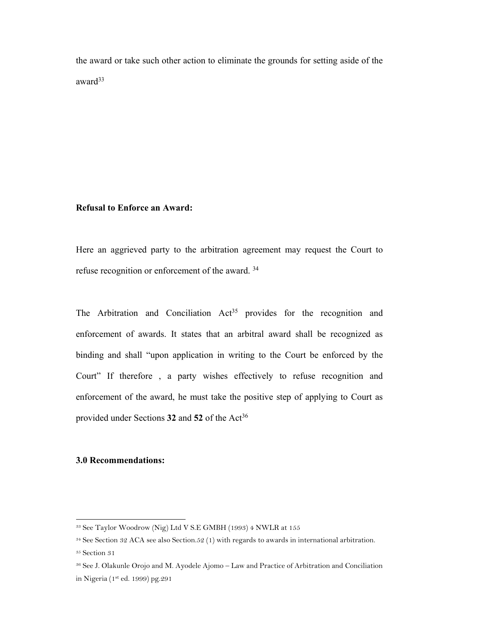the award or take such other action to eliminate the grounds for setting aside of the award<sup>33</sup>

## **Refusal to Enforce an Award:**

Here an aggrieved party to the arbitration agreement may request the Court to refuse recognition or enforcement of the award. 34

The Arbitration and Conciliation Act<sup>35</sup> provides for the recognition and enforcement of awards. It states that an arbitral award shall be recognized as binding and shall "upon application in writing to the Court be enforced by the Court" If therefore , a party wishes effectively to refuse recognition and enforcement of the award, he must take the positive step of applying to Court as provided under Sections 32 and 52 of the Act<sup>36</sup>

# **3.0 Recommendations:**

<sup>33</sup> See Taylor Woodrow (Nig) Ltd V S.E GMBH (1993) 4 NWLR at 155

<sup>34</sup> See Section 32 ACA see also Section.52 (1) with regards to awards in international arbitration.

<sup>35</sup> Section 31

<sup>36</sup> See J. Olakunle Orojo and M. Ayodele Ajomo – Law and Practice of Arbitration and Conciliation in Nigeria (1st ed. 1999) pg.291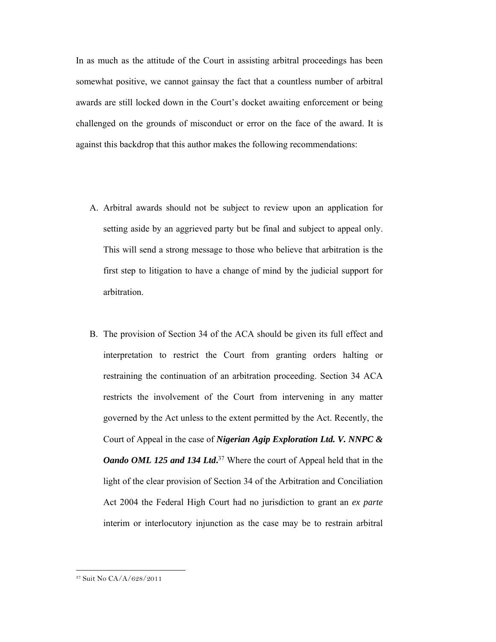In as much as the attitude of the Court in assisting arbitral proceedings has been somewhat positive, we cannot gainsay the fact that a countless number of arbitral awards are still locked down in the Court's docket awaiting enforcement or being challenged on the grounds of misconduct or error on the face of the award. It is against this backdrop that this author makes the following recommendations:

- A. Arbitral awards should not be subject to review upon an application for setting aside by an aggrieved party but be final and subject to appeal only. This will send a strong message to those who believe that arbitration is the first step to litigation to have a change of mind by the judicial support for arbitration.
- B. The provision of Section 34 of the ACA should be given its full effect and interpretation to restrict the Court from granting orders halting or restraining the continuation of an arbitration proceeding. Section 34 ACA restricts the involvement of the Court from intervening in any matter governed by the Act unless to the extent permitted by the Act. Recently, the Court of Appeal in the case of *Nigerian Agip Exploration Ltd. V. NNPC & Oando OML 125 and 134 Ltd***.** 37 Where the court of Appeal held that in the light of the clear provision of Section 34 of the Arbitration and Conciliation Act 2004 the Federal High Court had no jurisdiction to grant an *ex parte*  interim or interlocutory injunction as the case may be to restrain arbitral

<sup>37</sup> Suit No CA/A/628/2011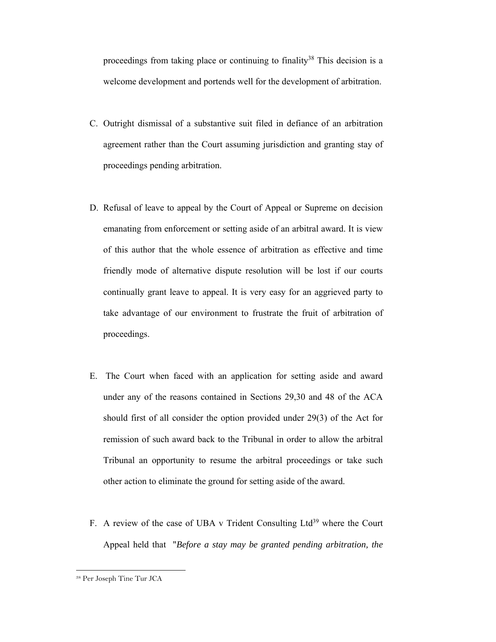proceedings from taking place or continuing to finality<sup>38</sup> This decision is a welcome development and portends well for the development of arbitration.

- C. Outright dismissal of a substantive suit filed in defiance of an arbitration agreement rather than the Court assuming jurisdiction and granting stay of proceedings pending arbitration.
- D. Refusal of leave to appeal by the Court of Appeal or Supreme on decision emanating from enforcement or setting aside of an arbitral award. It is view of this author that the whole essence of arbitration as effective and time friendly mode of alternative dispute resolution will be lost if our courts continually grant leave to appeal. It is very easy for an aggrieved party to take advantage of our environment to frustrate the fruit of arbitration of proceedings.
- E. The Court when faced with an application for setting aside and award under any of the reasons contained in Sections 29,30 and 48 of the ACA should first of all consider the option provided under 29(3) of the Act for remission of such award back to the Tribunal in order to allow the arbitral Tribunal an opportunity to resume the arbitral proceedings or take such other action to eliminate the ground for setting aside of the award.
- F. A review of the case of UBA v Trident Consulting  $Ltd^{39}$  where the Court Appeal held that "*Before a stay may be granted pending arbitration, the*

<sup>38</sup> Per Joseph Tine Tur JCA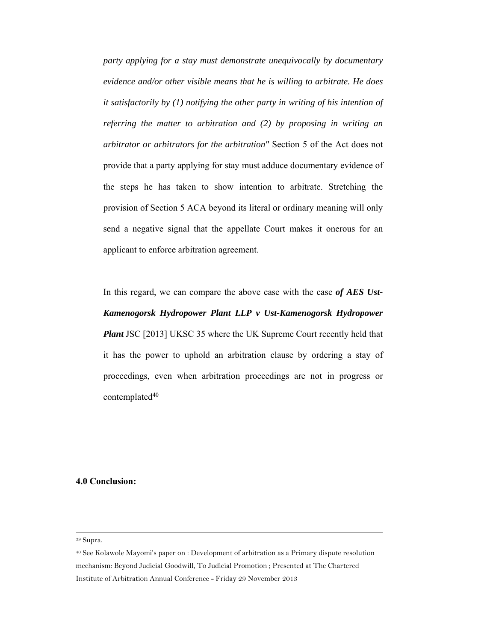*party applying for a stay must demonstrate unequivocally by documentary evidence and/or other visible means that he is willing to arbitrate. He does it satisfactorily by (1) notifying the other party in writing of his intention of referring the matter to arbitration and (2) by proposing in writing an arbitrator or arbitrators for the arbitration"* Section 5 of the Act does not provide that a party applying for stay must adduce documentary evidence of the steps he has taken to show intention to arbitrate. Stretching the provision of Section 5 ACA beyond its literal or ordinary meaning will only send a negative signal that the appellate Court makes it onerous for an applicant to enforce arbitration agreement.

In this regard, we can compare the above case with the case *of AES Ust-Kamenogorsk Hydropower Plant LLP v Ust-Kamenogorsk Hydropower Plant* JSC [2013] UKSC 35 where the UK Supreme Court recently held that it has the power to uphold an arbitration clause by ordering a stay of proceedings, even when arbitration proceedings are not in progress or contemplated<sup>40</sup>

# **4.0 Conclusion:**

<sup>39</sup> Supra.

<sup>40</sup> See Kolawole Mayomi's paper on : Development of arbitration as a Primary dispute resolution mechanism: Beyond Judicial Goodwill, To Judicial Promotion ; Presented at The Chartered Institute of Arbitration Annual Conference - Friday 29 November 2013